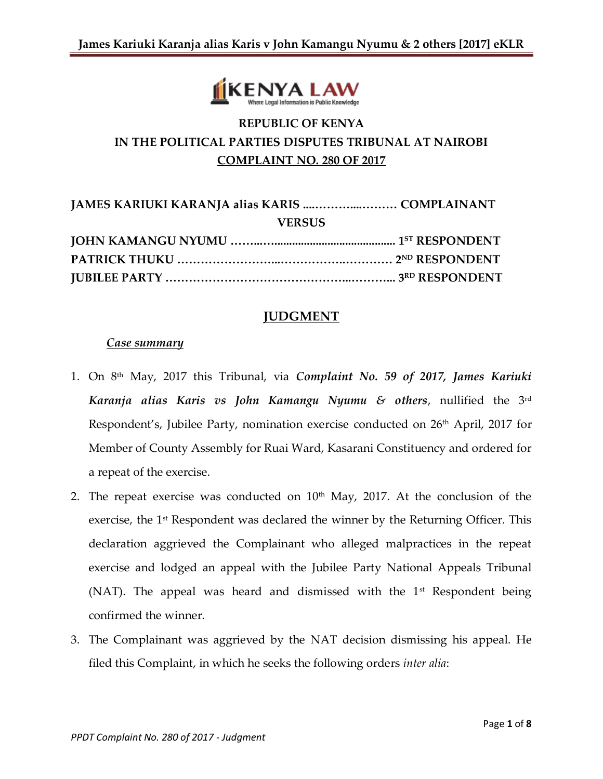

# **REPUBLIC OF KENYA IN THE POLITICAL PARTIES DISPUTES TRIBUNAL AT NAIROBI COMPLAINT NO. 280 OF 2017**

| <b>JAMES KARIUKI KARANJA alias KARIS  COMPLAINANT</b> |  |
|-------------------------------------------------------|--|
| <b>VERSUS</b>                                         |  |
|                                                       |  |
|                                                       |  |
|                                                       |  |

## **JUDGMENT**

#### *Case summary*

- 1. On 8th May, 2017 this Tribunal, via *Complaint No. 59 of 2017, James Kariuki Karanja alias Karis vs John Kamangu Nyumu & others*, nullified the 3rd Respondent's, Jubilee Party, nomination exercise conducted on 26<sup>th</sup> April, 2017 for Member of County Assembly for Ruai Ward, Kasarani Constituency and ordered for a repeat of the exercise.
- 2. The repeat exercise was conducted on  $10<sup>th</sup>$  May, 2017. At the conclusion of the exercise, the 1<sup>st</sup> Respondent was declared the winner by the Returning Officer. This declaration aggrieved the Complainant who alleged malpractices in the repeat exercise and lodged an appeal with the Jubilee Party National Appeals Tribunal (NAT). The appeal was heard and dismissed with the  $1<sup>st</sup>$  Respondent being confirmed the winner.
- 3. The Complainant was aggrieved by the NAT decision dismissing his appeal. He filed this Complaint, in which he seeks the following orders *inter alia*: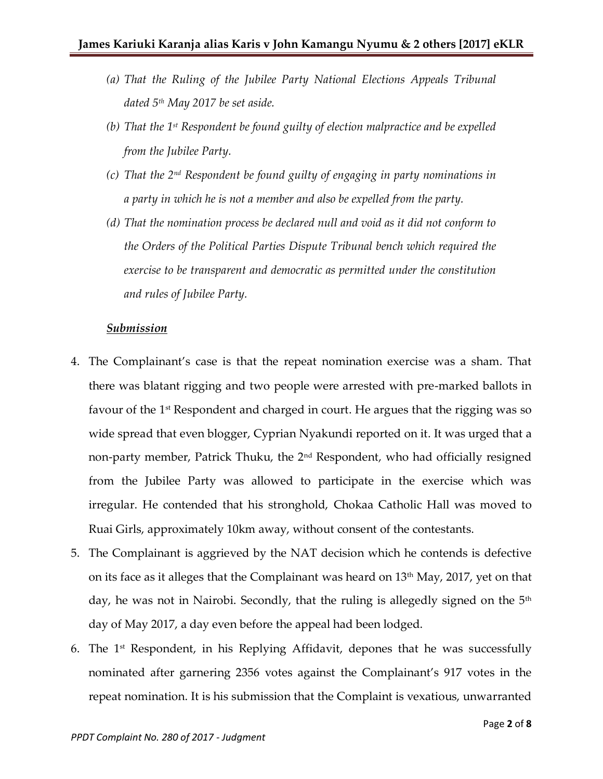- *(a) That the Ruling of the Jubilee Party National Elections Appeals Tribunal dated 5th May 2017 be set aside.*
- *(b) That the 1st Respondent be found guilty of election malpractice and be expelled from the Jubilee Party.*
- *(c) That the 2nd Respondent be found guilty of engaging in party nominations in a party in which he is not a member and also be expelled from the party.*
- *(d) That the nomination process be declared null and void as it did not conform to the Orders of the Political Parties Dispute Tribunal bench which required the exercise to be transparent and democratic as permitted under the constitution and rules of Jubilee Party.*

#### *Submission*

- 4. The Complainant's case is that the repeat nomination exercise was a sham. That there was blatant rigging and two people were arrested with pre-marked ballots in favour of the 1<sup>st</sup> Respondent and charged in court. He argues that the rigging was so wide spread that even blogger, Cyprian Nyakundi reported on it. It was urged that a non-party member, Patrick Thuku, the 2<sup>nd</sup> Respondent, who had officially resigned from the Jubilee Party was allowed to participate in the exercise which was irregular. He contended that his stronghold, Chokaa Catholic Hall was moved to Ruai Girls, approximately 10km away, without consent of the contestants.
- 5. The Complainant is aggrieved by the NAT decision which he contends is defective on its face as it alleges that the Complainant was heard on 13th May, 2017, yet on that day, he was not in Nairobi. Secondly, that the ruling is allegedly signed on the  $5<sup>th</sup>$ day of May 2017, a day even before the appeal had been lodged.
- 6. The  $1<sup>st</sup>$  Respondent, in his Replying Affidavit, depones that he was successfully nominated after garnering 2356 votes against the Complainant's 917 votes in the repeat nomination. It is his submission that the Complaint is vexatious, unwarranted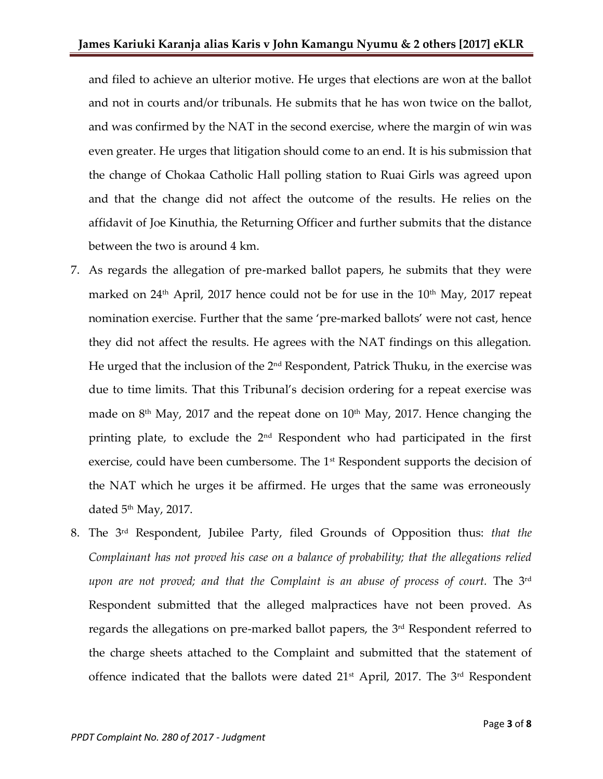and filed to achieve an ulterior motive. He urges that elections are won at the ballot and not in courts and/or tribunals. He submits that he has won twice on the ballot, and was confirmed by the NAT in the second exercise, where the margin of win was even greater. He urges that litigation should come to an end. It is his submission that the change of Chokaa Catholic Hall polling station to Ruai Girls was agreed upon and that the change did not affect the outcome of the results. He relies on the affidavit of Joe Kinuthia, the Returning Officer and further submits that the distance between the two is around 4 km.

- 7. As regards the allegation of pre-marked ballot papers, he submits that they were marked on  $24<sup>th</sup>$  April, 2017 hence could not be for use in the  $10<sup>th</sup>$  May, 2017 repeat nomination exercise. Further that the same 'pre-marked ballots' were not cast, hence they did not affect the results. He agrees with the NAT findings on this allegation. He urged that the inclusion of the  $2<sup>nd</sup>$  Respondent, Patrick Thuku, in the exercise was due to time limits. That this Tribunal's decision ordering for a repeat exercise was made on  $8<sup>th</sup>$  May, 2017 and the repeat done on  $10<sup>th</sup>$  May, 2017. Hence changing the printing plate, to exclude the 2nd Respondent who had participated in the first exercise, could have been cumbersome. The 1<sup>st</sup> Respondent supports the decision of the NAT which he urges it be affirmed. He urges that the same was erroneously dated  $5<sup>th</sup>$  May, 2017.
- 8. The 3 rd Respondent, Jubilee Party, filed Grounds of Opposition thus: *that the Complainant has not proved his case on a balance of probability; that the allegations relied upon are not proved; and that the Complaint is an abuse of process of court.* The 3rd Respondent submitted that the alleged malpractices have not been proved. As regards the allegations on pre-marked ballot papers, the 3<sup>rd</sup> Respondent referred to the charge sheets attached to the Complaint and submitted that the statement of offence indicated that the ballots were dated  $21<sup>st</sup>$  April, 2017. The  $3<sup>rd</sup>$  Respondent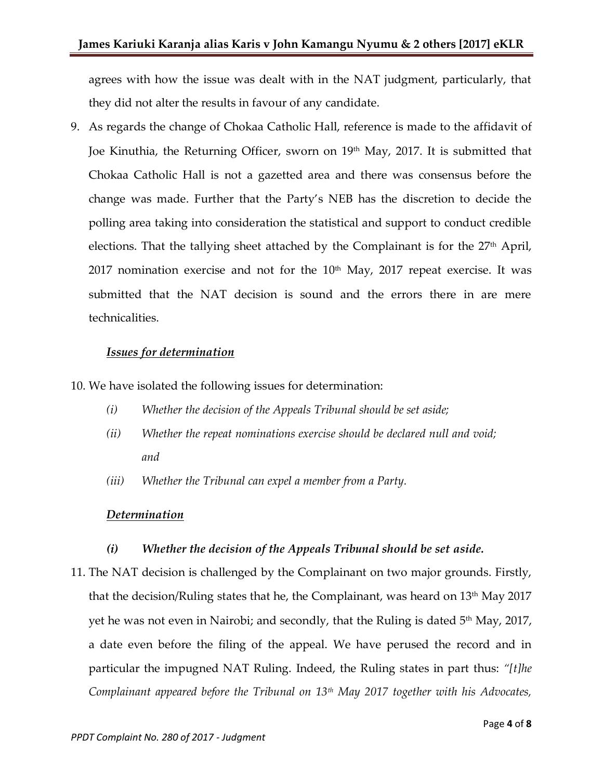agrees with how the issue was dealt with in the NAT judgment, particularly, that they did not alter the results in favour of any candidate.

9. As regards the change of Chokaa Catholic Hall, reference is made to the affidavit of Joe Kinuthia, the Returning Officer, sworn on 19<sup>th</sup> May, 2017. It is submitted that Chokaa Catholic Hall is not a gazetted area and there was consensus before the change was made. Further that the Party's NEB has the discretion to decide the polling area taking into consideration the statistical and support to conduct credible elections. That the tallying sheet attached by the Complainant is for the  $27<sup>th</sup>$  April, 2017 nomination exercise and not for the  $10<sup>th</sup>$  May, 2017 repeat exercise. It was submitted that the NAT decision is sound and the errors there in are mere technicalities.

### *Issues for determination*

10. We have isolated the following issues for determination:

- *(i) Whether the decision of the Appeals Tribunal should be set aside;*
- *(ii) Whether the repeat nominations exercise should be declared null and void; and*
- *(iii) Whether the Tribunal can expel a member from a Party.*

# *Determination*

# *(i) Whether the decision of the Appeals Tribunal should be set aside.*

11. The NAT decision is challenged by the Complainant on two major grounds. Firstly, that the decision/Ruling states that he, the Complainant, was heard on 13th May 2017 yet he was not even in Nairobi; and secondly, that the Ruling is dated  $5<sup>th</sup>$  May, 2017, a date even before the filing of the appeal. We have perused the record and in particular the impugned NAT Ruling. Indeed, the Ruling states in part thus: *"[t]he Complainant appeared before the Tribunal on 13th May 2017 together with his Advocates,*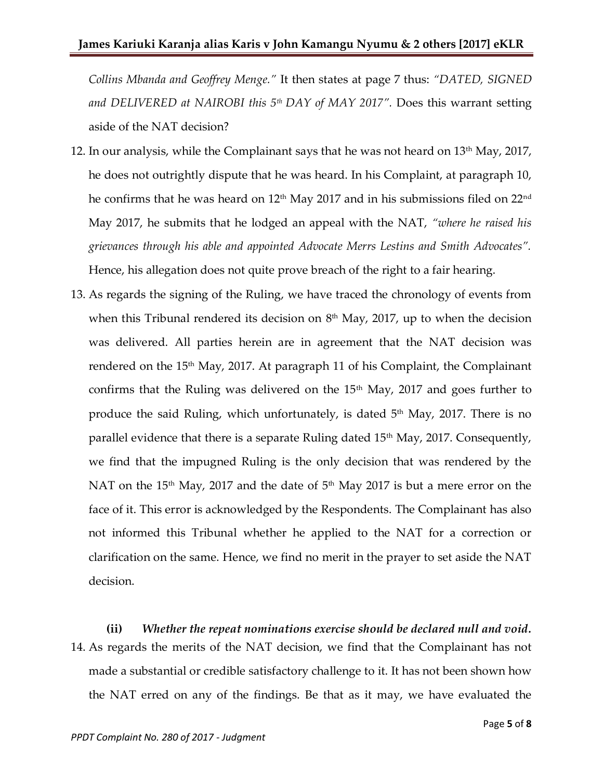*Collins Mbanda and Geoffrey Menge."* It then states at page 7 thus: *"DATED, SIGNED and DELIVERED at NAIROBI this 5th DAY of MAY 2017".* Does this warrant setting aside of the NAT decision?

- 12. In our analysis, while the Complainant says that he was not heard on  $13<sup>th</sup>$  May, 2017, he does not outrightly dispute that he was heard. In his Complaint, at paragraph 10, he confirms that he was heard on  $12<sup>th</sup>$  May 2017 and in his submissions filed on  $22<sup>nd</sup>$ May 2017, he submits that he lodged an appeal with the NAT, *"where he raised his grievances through his able and appointed Advocate Merrs Lestins and Smith Advocates".* Hence, his allegation does not quite prove breach of the right to a fair hearing.
- 13. As regards the signing of the Ruling, we have traced the chronology of events from when this Tribunal rendered its decision on 8<sup>th</sup> May, 2017, up to when the decision was delivered. All parties herein are in agreement that the NAT decision was rendered on the 15<sup>th</sup> May, 2017. At paragraph 11 of his Complaint, the Complainant confirms that the Ruling was delivered on the  $15<sup>th</sup>$  May, 2017 and goes further to produce the said Ruling, which unfortunately, is dated  $5<sup>th</sup>$  May, 2017. There is no parallel evidence that there is a separate Ruling dated 15<sup>th</sup> May, 2017. Consequently, we find that the impugned Ruling is the only decision that was rendered by the NAT on the 15<sup>th</sup> May, 2017 and the date of  $5<sup>th</sup>$  May 2017 is but a mere error on the face of it. This error is acknowledged by the Respondents. The Complainant has also not informed this Tribunal whether he applied to the NAT for a correction or clarification on the same. Hence, we find no merit in the prayer to set aside the NAT decision.

**(ii)** *Whether the repeat nominations exercise should be declared null and void.* 14. As regards the merits of the NAT decision, we find that the Complainant has not made a substantial or credible satisfactory challenge to it. It has not been shown how the NAT erred on any of the findings. Be that as it may, we have evaluated the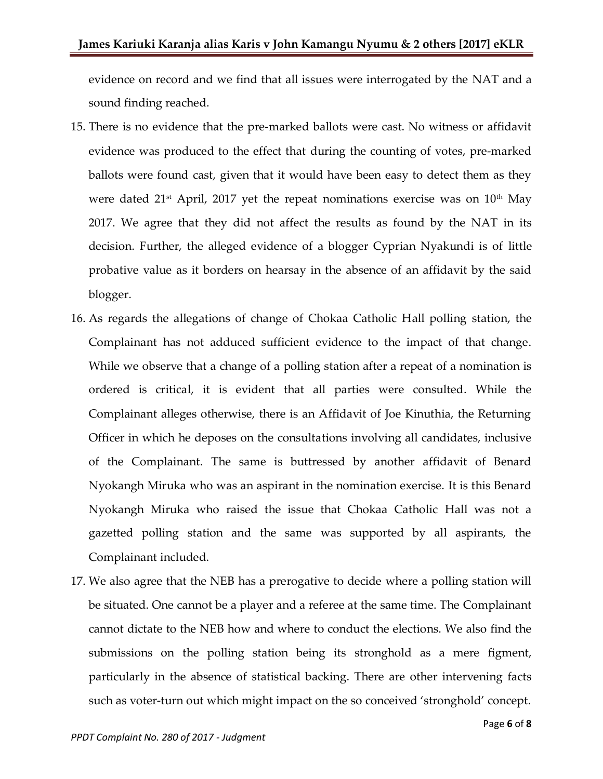evidence on record and we find that all issues were interrogated by the NAT and a sound finding reached.

- 15. There is no evidence that the pre-marked ballots were cast. No witness or affidavit evidence was produced to the effect that during the counting of votes, pre-marked ballots were found cast, given that it would have been easy to detect them as they were dated  $21^{st}$  April, 2017 yet the repeat nominations exercise was on  $10^{th}$  May 2017. We agree that they did not affect the results as found by the NAT in its decision. Further, the alleged evidence of a blogger Cyprian Nyakundi is of little probative value as it borders on hearsay in the absence of an affidavit by the said blogger.
- 16. As regards the allegations of change of Chokaa Catholic Hall polling station, the Complainant has not adduced sufficient evidence to the impact of that change. While we observe that a change of a polling station after a repeat of a nomination is ordered is critical, it is evident that all parties were consulted. While the Complainant alleges otherwise, there is an Affidavit of Joe Kinuthia, the Returning Officer in which he deposes on the consultations involving all candidates, inclusive of the Complainant. The same is buttressed by another affidavit of Benard Nyokangh Miruka who was an aspirant in the nomination exercise. It is this Benard Nyokangh Miruka who raised the issue that Chokaa Catholic Hall was not a gazetted polling station and the same was supported by all aspirants, the Complainant included.
- 17. We also agree that the NEB has a prerogative to decide where a polling station will be situated. One cannot be a player and a referee at the same time. The Complainant cannot dictate to the NEB how and where to conduct the elections. We also find the submissions on the polling station being its stronghold as a mere figment, particularly in the absence of statistical backing. There are other intervening facts such as voter-turn out which might impact on the so conceived 'stronghold' concept.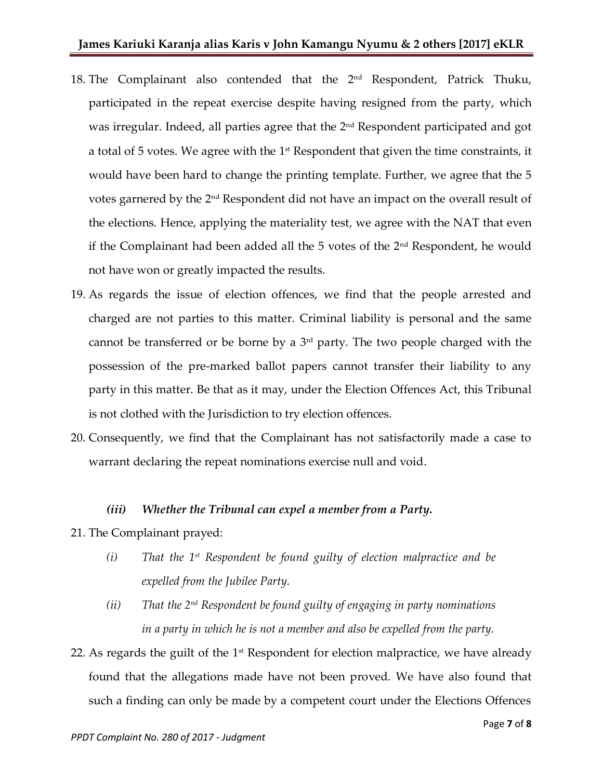- 18. The Complainant also contended that the 2<sup>nd</sup> Respondent, Patrick Thuku, participated in the repeat exercise despite having resigned from the party, which was irregular. Indeed, all parties agree that the 2<sup>nd</sup> Respondent participated and got a total of 5 votes. We agree with the 1 $\mathrm{^{st}}$  Respondent that given the time constraints, it would have been hard to change the printing template. Further, we agree that the 5 votes garnered by the 2nd Respondent did not have an impact on the overall result of the elections. Hence, applying the materiality test, we agree with the NAT that even if the Complainant had been added all the  $5$  votes of the  $2<sup>nd</sup>$  Respondent, he would not have won or greatly impacted the results.
- 19. As regards the issue of election offences, we find that the people arrested and charged are not parties to this matter. Criminal liability is personal and the same cannot be transferred or be borne by a  $3<sup>rd</sup>$  party. The two people charged with the possession of the pre-marked ballot papers cannot transfer their liability to any party in this matter. Be that as it may, under the Election Offences Act, this Tribunal is not clothed with the Jurisdiction to try election offences.
- 20. Consequently, we find that the Complainant has not satisfactorily made a case to warrant declaring the repeat nominations exercise null and void.

#### *(iii) Whether the Tribunal can expel a member from a Party.*

- 21. The Complainant prayed:
	- *(i) That the 1st Respondent be found guilty of election malpractice and be expelled from the Jubilee Party.*
	- *(ii) That the 2nd Respondent be found guilty of engaging in party nominations in a party in which he is not a member and also be expelled from the party.*
- 22. As regards the guilt of the  $1<sup>st</sup>$  Respondent for election malpractice, we have already found that the allegations made have not been proved. We have also found that such a finding can only be made by a competent court under the Elections Offences